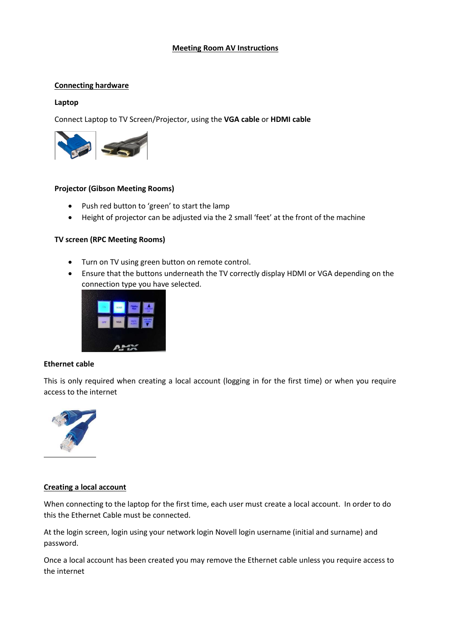# **Meeting Room AV Instructions**

# **Connecting hardware**

# **Laptop**

Connect Laptop to TV Screen/Projector, using the **VGA cable** or **HDMI cable**



# **Projector (Gibson Meeting Rooms)**

- Push red button to 'green' to start the lamp
- Height of projector can be adjusted via the 2 small 'feet' at the front of the machine

# **TV screen (RPC Meeting Rooms)**

- Turn on TV using green button on remote control.
- Ensure that the buttons underneath the TV correctly display HDMI or VGA depending on the connection type you have selected.



# **Ethernet cable**

This is only required when creating a local account (logging in for the first time) or when you require access to the internet



# **Creating a local account**

When connecting to the laptop for the first time, each user must create a local account. In order to do this the Ethernet Cable must be connected.

At the login screen, login using your network login Novell login username (initial and surname) and password.

Once a local account has been created you may remove the Ethernet cable unless you require access to the internet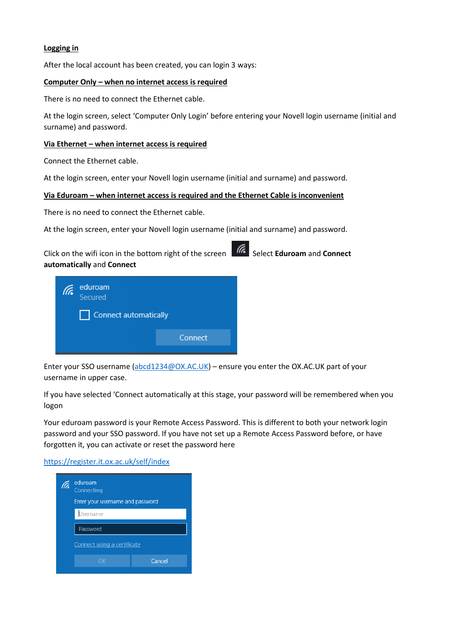# **Logging in**

After the local account has been created, you can login 3 ways:

#### **Computer Only – when no internet access is required**

There is no need to connect the Ethernet cable.

At the login screen, select 'Computer Only Login' before entering your Novell login username (initial and surname) and password.

### **Via Ethernet – when internet access is required**

Connect the Ethernet cable.

At the login screen, enter your Novell login username (initial and surname) and password.

#### **Via Eduroam – when internet access is required and the Ethernet Cable is inconvenient**

There is no need to connect the Ethernet cable.

At the login screen, enter your Novell login username (initial and surname) and password.

Click on the wifi icon in the bottom right of the screen **Select Eduroam** and **Connect automatically** and **Connect**



Enter your SSO username [\(abcd1234@OX.AC.UK\)](mailto:abcd1234@OX.AC.UK) – ensure you enter the OX.AC.UK part of your username in upper case.

If you have selected 'Connect automatically at this stage, your password will be remembered when you logon

Your eduroam password is your Remote Access Password. This is different to both your network login password and your SSO password. If you have not set up a Remote Access Password before, or have forgotten it, you can activate or reset the password here

<https://register.it.ox.ac.uk/self/index>

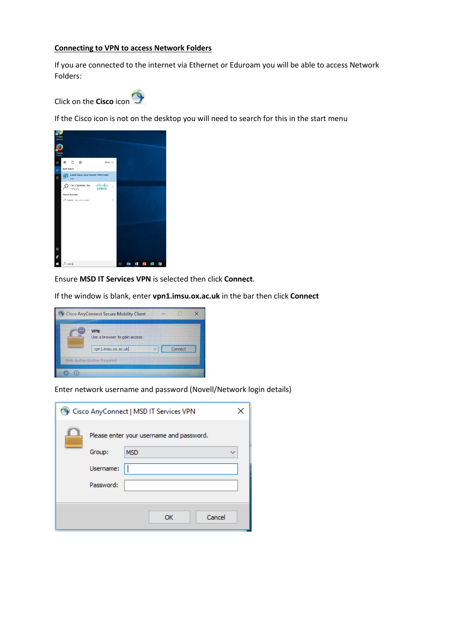### **Connecting to VPN to access Network Folders**

If you are connected to the internet via Ethernet or Eduroam you will be able to access Network Folders:



If the Cisco icon is not on the desktop you will need to search for this in the start menu

| Google<br>Chrome  |              |                |                           |                                     |                |   |                 |   |  |  |
|-------------------|--------------|----------------|---------------------------|-------------------------------------|----------------|---|-----------------|---|--|--|
| Mobile<br>Firefox |              |                |                           |                                     |                |   |                 |   |  |  |
| I                 | 团            |                | D ®                       |                                     | Filters $\vee$ |   |                 |   |  |  |
| $\hat{\Omega}$    | Best match   |                |                           |                                     |                |   |                 |   |  |  |
| 回                 | b            | App            |                           | Install Cisco AnyConnect VPN Client |                |   |                 |   |  |  |
|                   |              | Company        | Cisco Systems, Inc.       | abab.<br>cisco                      | $\mathcal{P}$  |   |                 |   |  |  |
|                   |              | Search the web |                           |                                     |                |   |                 |   |  |  |
|                   |              |                | O cisco - See web results |                                     | $\overline{ }$ |   |                 |   |  |  |
|                   |              |                |                           |                                     |                |   |                 |   |  |  |
|                   |              |                |                           |                                     |                |   |                 |   |  |  |
|                   |              |                |                           |                                     |                |   |                 |   |  |  |
|                   |              |                |                           |                                     |                |   |                 |   |  |  |
|                   |              |                |                           |                                     |                |   |                 |   |  |  |
|                   |              |                |                           |                                     |                |   |                 |   |  |  |
|                   |              |                |                           |                                     |                |   |                 |   |  |  |
| Ø                 |              |                |                           |                                     |                |   |                 |   |  |  |
| R                 |              |                |                           |                                     |                |   |                 |   |  |  |
| Ŧ                 | $\rho$ cisco |                |                           |                                     |                | 詌 | $0\overline{a}$ | × |  |  |

Ensure **MSD IT Services VPN** is selected then click **Connect**.

If the window is blank, enter **vpn1.imsu.ox.ac.uk** in the bar then click **Connect**



Enter network username and password (Novell/Network login details)

|                                          | Cisco AnyConnect   MSD IT Services VPN |  |  |  |  |  |  |  |  |
|------------------------------------------|----------------------------------------|--|--|--|--|--|--|--|--|
| Please enter your username and password. |                                        |  |  |  |  |  |  |  |  |
| Group:                                   | <b>MSD</b>                             |  |  |  |  |  |  |  |  |
| Username:                                |                                        |  |  |  |  |  |  |  |  |
| Password:                                |                                        |  |  |  |  |  |  |  |  |
|                                          |                                        |  |  |  |  |  |  |  |  |
|                                          | Cancel<br>ОК                           |  |  |  |  |  |  |  |  |